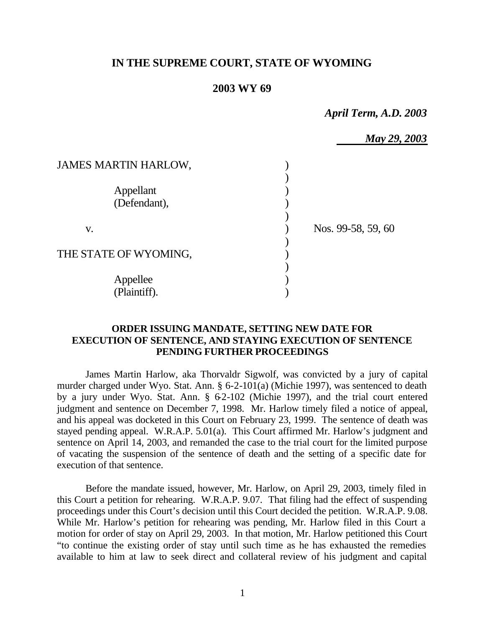# **IN THE SUPREME COURT, STATE OF WYOMING**

## **2003 WY 69**

*April Term, A.D. 2003*

|                             | May 29, 2003       |  |
|-----------------------------|--------------------|--|
| <b>JAMES MARTIN HARLOW,</b> |                    |  |
|                             |                    |  |
| Appellant                   |                    |  |
| (Defendant),                |                    |  |
|                             |                    |  |
| V.                          | Nos. 99-58, 59, 60 |  |
|                             |                    |  |
| THE STATE OF WYOMING,       |                    |  |
|                             |                    |  |
| Appellee                    |                    |  |
| (Plaintiff).                |                    |  |

## **ORDER ISSUING MANDATE, SETTING NEW DATE FOR EXECUTION OF SENTENCE, AND STAYING EXECUTION OF SENTENCE PENDING FURTHER PROCEEDINGS**

James Martin Harlow, aka Thorvaldr Sigwolf, was convicted by a jury of capital murder charged under Wyo. Stat. Ann. § 6-2-101(a) (Michie 1997), was sentenced to death by a jury under Wyo. Stat. Ann. § 62-102 (Michie 1997), and the trial court entered judgment and sentence on December 7, 1998. Mr. Harlow timely filed a notice of appeal, and his appeal was docketed in this Court on February 23, 1999. The sentence of death was stayed pending appeal. W.R.A.P. 5.01(a). This Court affirmed Mr. Harlow's judgment and sentence on April 14, 2003, and remanded the case to the trial court for the limited purpose of vacating the suspension of the sentence of death and the setting of a specific date for execution of that sentence.

Before the mandate issued, however, Mr. Harlow, on April 29, 2003, timely filed in this Court a petition for rehearing. W.R.A.P. 9.07. That filing had the effect of suspending proceedings under this Court's decision until this Court decided the petition. W.R.A.P. 9.08. While Mr. Harlow's petition for rehearing was pending, Mr. Harlow filed in this Court a motion for order of stay on April 29, 2003. In that motion, Mr. Harlow petitioned this Court "to continue the existing order of stay until such time as he has exhausted the remedies available to him at law to seek direct and collateral review of his judgment and capital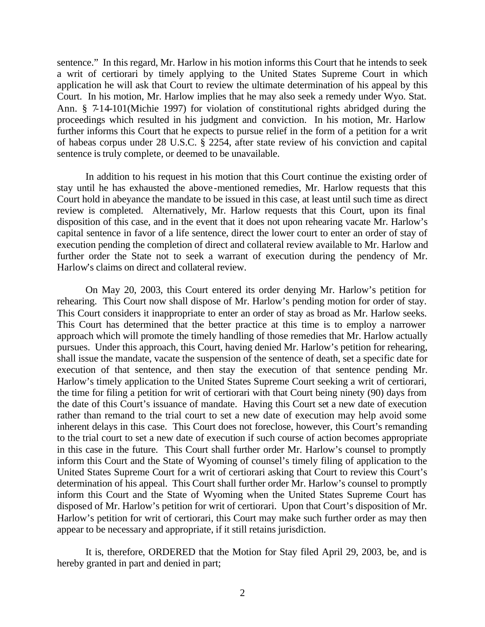sentence." In this regard, Mr. Harlow in his motion informs this Court that he intends to seek a writ of certiorari by timely applying to the United States Supreme Court in which application he will ask that Court to review the ultimate determination of his appeal by this Court. In his motion, Mr. Harlow implies that he may also seek a remedy under Wyo. Stat. Ann. § 7-14-101(Michie 1997) for violation of constitutional rights abridged during the proceedings which resulted in his judgment and conviction. In his motion, Mr. Harlow further informs this Court that he expects to pursue relief in the form of a petition for a writ of habeas corpus under 28 U.S.C. § 2254, after state review of his conviction and capital sentence is truly complete, or deemed to be unavailable.

In addition to his request in his motion that this Court continue the existing order of stay until he has exhausted the above-mentioned remedies, Mr. Harlow requests that this Court hold in abeyance the mandate to be issued in this case, at least until such time as direct review is completed. Alternatively, Mr. Harlow requests that this Court, upon its final disposition of this case, and in the event that it does not upon rehearing vacate Mr. Harlow's capital sentence in favor of a life sentence, direct the lower court to enter an order of stay of execution pending the completion of direct and collateral review available to Mr. Harlow and further order the State not to seek a warrant of execution during the pendency of Mr. Harlow's claims on direct and collateral review.

On May 20, 2003, this Court entered its order denying Mr. Harlow's petition for rehearing. This Court now shall dispose of Mr. Harlow's pending motion for order of stay. This Court considers it inappropriate to enter an order of stay as broad as Mr. Harlow seeks. This Court has determined that the better practice at this time is to employ a narrower approach which will promote the timely handling of those remedies that Mr. Harlow actually pursues. Under this approach, this Court, having denied Mr. Harlow's petition for rehearing, shall issue the mandate, vacate the suspension of the sentence of death, set a specific date for execution of that sentence, and then stay the execution of that sentence pending Mr. Harlow's timely application to the United States Supreme Court seeking a writ of certiorari, the time for filing a petition for writ of certiorari with that Court being ninety (90) days from the date of this Court's issuance of mandate. Having this Court set a new date of execution rather than remand to the trial court to set a new date of execution may help avoid some inherent delays in this case. This Court does not foreclose, however, this Court's remanding to the trial court to set a new date of execution if such course of action becomes appropriate in this case in the future. This Court shall further order Mr. Harlow's counsel to promptly inform this Court and the State of Wyoming of counsel's timely filing of application to the United States Supreme Court for a writ of certiorari asking that Court to review this Court's determination of his appeal. This Court shall further order Mr. Harlow's counsel to promptly inform this Court and the State of Wyoming when the United States Supreme Court has disposed of Mr. Harlow's petition for writ of certiorari. Upon that Court's disposition of Mr. Harlow's petition for writ of certiorari, this Court may make such further order as may then appear to be necessary and appropriate, if it still retains jurisdiction.

It is, therefore, ORDERED that the Motion for Stay filed April 29, 2003, be, and is hereby granted in part and denied in part;